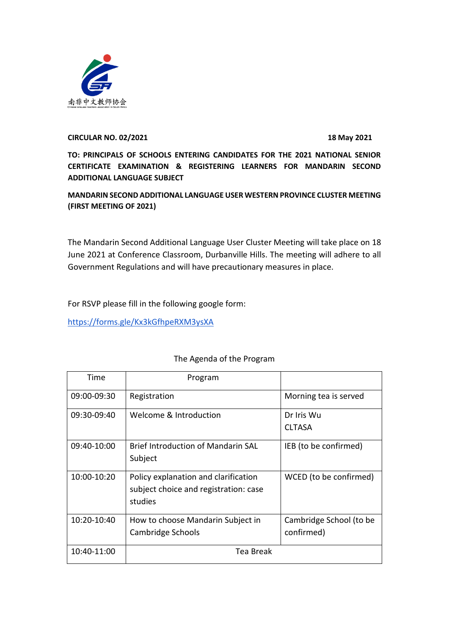

## **CIRCULAR NO. 02/2021 18 May 2021**

**TO: PRINCIPALS OF SCHOOLS ENTERING CANDIDATES FOR THE 2021 NATIONAL SENIOR CERTIFICATE EXAMINATION & REGISTERING LEARNERS FOR MANDARIN SECOND ADDITIONAL LANGUAGE SUBJECT** 

**MANDARIN SECOND ADDITIONAL LANGUAGE USER WESTERN PROVINCE CLUSTER MEETING (FIRST MEETING OF 2021)**

The Mandarin Second Additional Language User Cluster Meeting will take place on 18 June 2021 at Conference Classroom, Durbanville Hills. The meeting will adhere to all Government Regulations and will have precautionary measures in place.

For RSVP please fill in the following google form:

<https://forms.gle/Kx3kGfhpeRXM3ysXA>

| Time        | Program                                                                                  |                                       |
|-------------|------------------------------------------------------------------------------------------|---------------------------------------|
| 09:00-09:30 | Registration                                                                             | Morning tea is served                 |
| 09:30-09:40 | Welcome & Introduction                                                                   | Dr Iris Wu<br><b>CLTASA</b>           |
| 09:40-10:00 | <b>Brief Introduction of Mandarin SAL</b><br>Subject                                     | IEB (to be confirmed)                 |
| 10:00-10:20 | Policy explanation and clarification<br>subject choice and registration: case<br>studies | WCED (to be confirmed)                |
| 10:20-10:40 | How to choose Mandarin Subject in<br>Cambridge Schools                                   | Cambridge School (to be<br>confirmed) |
| 10:40-11:00 | Tea Break                                                                                |                                       |

## The Agenda of the Program